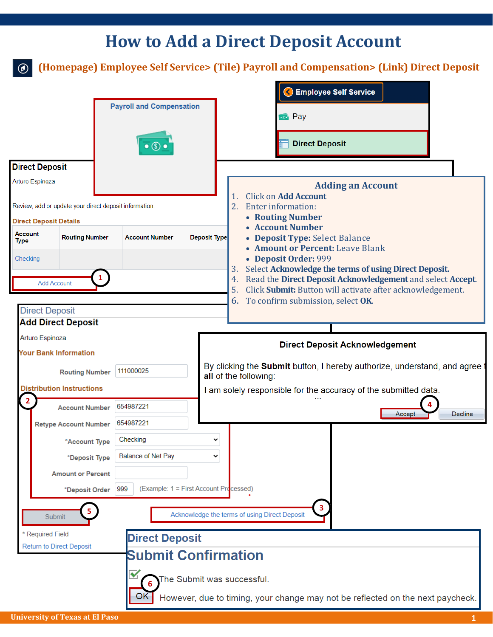## **How to Add a Direct Deposit Account**

**(Homepage) Employee Self Service> (Tile) Payroll and Compensation> (Link) Direct Deposit**

|                                                        |                               |                                 |           |                                        |                                                                                                                                                      |                                                                                                                                                                                                                            |                                                                                        | <b>C</b> Employee Self Service                     |                          |  |  |  |
|--------------------------------------------------------|-------------------------------|---------------------------------|-----------|----------------------------------------|------------------------------------------------------------------------------------------------------------------------------------------------------|----------------------------------------------------------------------------------------------------------------------------------------------------------------------------------------------------------------------------|----------------------------------------------------------------------------------------|----------------------------------------------------|--------------------------|--|--|--|
| <b>Payroll and Compensation</b>                        |                               |                                 |           |                                        | <b>Fig.</b> Pay                                                                                                                                      |                                                                                                                                                                                                                            |                                                                                        |                                                    |                          |  |  |  |
|                                                        |                               |                                 |           | $\bullet$ (\$)                         |                                                                                                                                                      |                                                                                                                                                                                                                            |                                                                                        | <b>Direct Deposit</b>                              |                          |  |  |  |
|                                                        | <b>Direct Deposit</b>         |                                 |           |                                        |                                                                                                                                                      |                                                                                                                                                                                                                            |                                                                                        |                                                    |                          |  |  |  |
|                                                        | Arturo Espinoza               |                                 |           |                                        |                                                                                                                                                      |                                                                                                                                                                                                                            |                                                                                        |                                                    | <b>Adding an Account</b> |  |  |  |
| Review, add or update your direct deposit information. |                               |                                 |           |                                        |                                                                                                                                                      | <b>Click on Add Account</b><br>1.<br>2.<br>Enter information:                                                                                                                                                              |                                                                                        |                                                    |                          |  |  |  |
|                                                        | <b>Direct Deposit Details</b> |                                 |           |                                        |                                                                                                                                                      |                                                                                                                                                                                                                            |                                                                                        | • Routing Number                                   |                          |  |  |  |
| Account<br><b>Type</b>                                 |                               | <b>Routing Number</b>           |           | <b>Account Number</b>                  | <b>Deposit Type</b>                                                                                                                                  |                                                                                                                                                                                                                            | • Account Number<br>• Deposit Type: Select Balance<br>• Amount or Percent: Leave Blank |                                                    |                          |  |  |  |
| Checking                                               |                               |                                 |           |                                        |                                                                                                                                                      | • Deposit Order: 999<br>Select Acknowledge the terms of using Direct Deposit.<br>3.<br>Read the Direct Deposit Acknowledgement and select Accept.<br>4.<br>Click Submit: Button will activate after acknowledgement.<br>5. |                                                                                        |                                                    |                          |  |  |  |
| 1                                                      |                               |                                 |           |                                        |                                                                                                                                                      |                                                                                                                                                                                                                            |                                                                                        |                                                    |                          |  |  |  |
| <b>Add Account</b>                                     |                               |                                 |           |                                        |                                                                                                                                                      |                                                                                                                                                                                                                            |                                                                                        |                                                    |                          |  |  |  |
| <b>Direct Deposit</b>                                  |                               |                                 |           |                                        |                                                                                                                                                      | 6.                                                                                                                                                                                                                         | To confirm submission, select OK                                                       |                                                    |                          |  |  |  |
| <b>Add Direct Deposit</b>                              |                               |                                 |           |                                        |                                                                                                                                                      |                                                                                                                                                                                                                            |                                                                                        |                                                    |                          |  |  |  |
| Arturo Espinoza                                        |                               |                                 |           |                                        | <b>Direct Deposit Acknowledgement</b><br>By clicking the <b>Submit</b> button, I hereby authorize, understand, and agree to<br>all of the following: |                                                                                                                                                                                                                            |                                                                                        |                                                    |                          |  |  |  |
| <b>Your Bank Information</b>                           |                               |                                 |           |                                        |                                                                                                                                                      |                                                                                                                                                                                                                            |                                                                                        |                                                    |                          |  |  |  |
| <b>Routing Number</b>                                  |                               |                                 | 111000025 |                                        |                                                                                                                                                      |                                                                                                                                                                                                                            |                                                                                        |                                                    |                          |  |  |  |
| <b>Distribution Instructions</b>                       |                               |                                 |           |                                        |                                                                                                                                                      |                                                                                                                                                                                                                            | I am solely responsible for the accuracy of the submitted data.                        |                                                    |                          |  |  |  |
|                                                        |                               | <b>Account Number</b>           |           | 654987221                              |                                                                                                                                                      |                                                                                                                                                                                                                            | <b>Decline</b><br>Accept                                                               |                                                    |                          |  |  |  |
|                                                        |                               | <b>Retype Account Number</b>    | 654987221 |                                        |                                                                                                                                                      |                                                                                                                                                                                                                            |                                                                                        |                                                    |                          |  |  |  |
|                                                        |                               | *Account Type                   |           | Checking                               |                                                                                                                                                      |                                                                                                                                                                                                                            |                                                                                        |                                                    |                          |  |  |  |
|                                                        |                               | *Deposit Type                   |           | <b>Balance of Net Pay</b>              |                                                                                                                                                      |                                                                                                                                                                                                                            |                                                                                        |                                                    |                          |  |  |  |
|                                                        |                               | <b>Amount or Percent</b>        |           |                                        |                                                                                                                                                      |                                                                                                                                                                                                                            |                                                                                        |                                                    |                          |  |  |  |
|                                                        |                               | *Deposit Order                  | 999       | (Example: 1 = First Account Processed) |                                                                                                                                                      |                                                                                                                                                                                                                            |                                                                                        |                                                    |                          |  |  |  |
|                                                        | Submit                        | 5                               |           |                                        |                                                                                                                                                      |                                                                                                                                                                                                                            |                                                                                        | 3<br>Acknowledge the terms of using Direct Deposit |                          |  |  |  |
|                                                        | * Required Field              |                                 |           | <b>Direct Deposit</b>                  |                                                                                                                                                      |                                                                                                                                                                                                                            |                                                                                        |                                                    |                          |  |  |  |
|                                                        |                               | <b>Return to Direct Deposit</b> |           | <b>Submit Confirmation</b>             |                                                                                                                                                      |                                                                                                                                                                                                                            |                                                                                        |                                                    |                          |  |  |  |
|                                                        |                               |                                 |           |                                        | The Submit was successful.                                                                                                                           |                                                                                                                                                                                                                            |                                                                                        |                                                    |                          |  |  |  |
| OK                                                     |                               |                                 |           |                                        |                                                                                                                                                      |                                                                                                                                                                                                                            | However, due to timing, your change may not be reflected on the next paycheck.         |                                                    |                          |  |  |  |